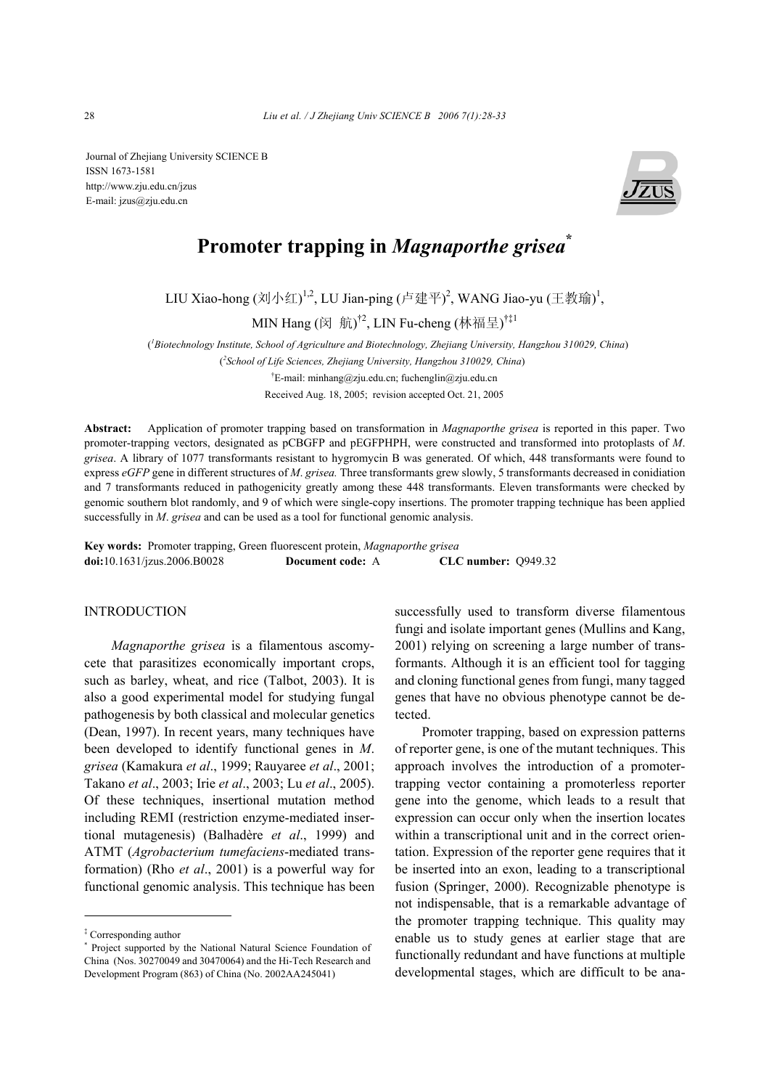Journal of Zhejiang University SCIENCE B ISSN 1673-1581 http://www.zju.edu.cn/jzus E-mail: jzus@zju.edu.cn



# **Promoter trapping in** *Magnaporthe grisea***\***

LIU Xiao-hong (刘小红)<sup>1,2</sup>, LU Jian-ping (卢建平)<sup>2</sup>, WANG Jiao-yu (王教瑜)<sup>1</sup>,

MIN Hang (闵  $\,$ 航) $^{\dagger 2}$ , LIN Fu-cheng (林福呈) $^{\dagger \ddagger 1}$ 

( *1 Biotechnology Institute, School of Agriculture and Biotechnology, Zhejiang University, Hangzhou 310029, China*)

(*2 School of Life Sciences, Zhejiang University, Hangzhou 310029, China*)

† E-mail: minhang@zju.edu.cn; fuchenglin@zju.edu.cn

Received Aug. 18, 2005; revision accepted Oct. 21, 2005

**Abstract:** Application of promoter trapping based on transformation in *Magnaporthe grisea* is reported in this paper. Two promoter-trapping vectors, designated as pCBGFP and pEGFPHPH, were constructed and transformed into protoplasts of *M*. *grisea*. A library of 1077 transformants resistant to hygromycin B was generated. Of which, 448 transformants were found to express *eGFP* gene in different structures of *M*. *grisea.* Three transformants grew slowly, 5 transformants decreased in conidiation and 7 transformants reduced in pathogenicity greatly among these 448 transformants. Eleven transformants were checked by genomic southern blot randomly, and 9 of which were single-copy insertions. The promoter trapping technique has been applied successfully in *M*. *grisea* and can be used as a tool for functional genomic analysis.

**Key words:** Promoter trapping, Green fluorescent protein, *Magnaporthe grisea* **doi:**10.1631/jzus.2006.B0028 **Document code:** A **CLC number:** Q949.32

## **INTRODUCTION**

*Magnaporthe grisea* is a filamentous ascomycete that parasitizes economically important crops, such as barley, wheat, and rice (Talbot, 2003). It is also a good experimental model for studying fungal pathogenesis by both classical and molecular genetics (Dean, 1997). In recent years, many techniques have been developed to identify functional genes in *M*. *grisea* (Kamakura *et al*., 1999; Rauyaree *et al*., 2001; Takano *et al*., 2003; Irie *et al*., 2003; Lu *et al*., 2005). Of these techniques, insertional mutation method including REMI (restriction enzyme-mediated insertional mutagenesis) (Balhadère *et al*., 1999) and ATMT (*Agrobacterium tumefaciens*-mediated transformation) (Rho *et al*., 2001) is a powerful way for functional genomic analysis. This technique has been

successfully used to transform diverse filamentous fungi and isolate important genes (Mullins and Kang, 2001) relying on screening a large number of transformants. Although it is an efficient tool for tagging and cloning functional genes from fungi, many tagged genes that have no obvious phenotype cannot be detected.

Promoter trapping, based on expression patterns of reporter gene, is one of the mutant techniques. This approach involves the introduction of a promotertrapping vector containing a promoterless reporter gene into the genome, which leads to a result that expression can occur only when the insertion locates within a transcriptional unit and in the correct orientation. Expression of the reporter gene requires that it be inserted into an exon, leading to a transcriptional fusion (Springer, 2000). Recognizable phenotype is not indispensable, that is a remarkable advantage of the promoter trapping technique. This quality may enable us to study genes at earlier stage that are functionally redundant and have functions at multiple developmental stages, which are difficult to be ana-

<sup>‡</sup> Corresponding author

<sup>\*</sup> Project supported by the National Natural Science Foundation of China (Nos. 30270049 and 30470064) and the Hi-Tech Research and Development Program (863) of China (No. 2002AA245041)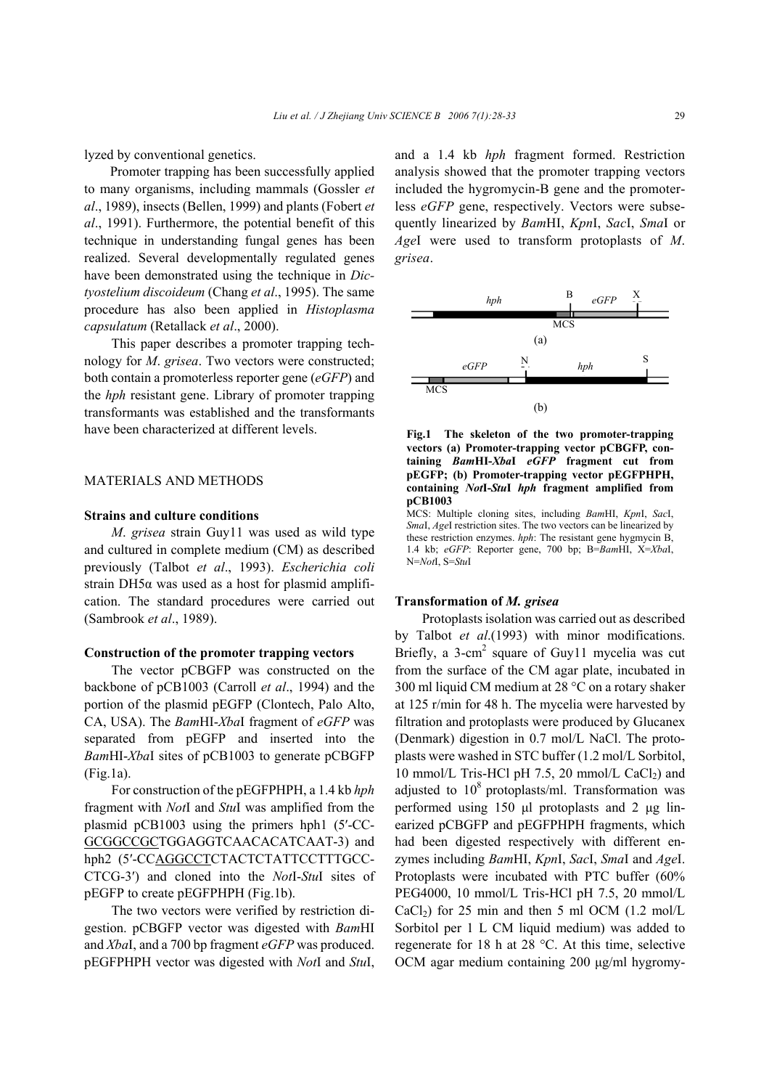lyzed by conventional genetics.

Promoter trapping has been successfully applied to many organisms, including mammals (Gossler *et al*., 1989), insects (Bellen, 1999) and plants (Fobert *et al*., 1991). Furthermore, the potential benefit of this technique in understanding fungal genes has been realized. Several developmentally regulated genes have been demonstrated using the technique in *Dictyostelium discoideum* (Chang *et al*., 1995). The same procedure has also been applied in *Histoplasma capsulatum* (Retallack *et al*., 2000).

This paper describes a promoter trapping technology for *M*. *grisea*. Two vectors were constructed; both contain a promoterless reporter gene (*eGFP*) and the *hph* resistant gene. Library of promoter trapping transformants was established and the transformants have been characterized at different levels.

# MATERIALS AND METHODS

## **Strains and culture conditions**

*M*. *grisea* strain Guy11 was used as wild type and cultured in complete medium (CM) as described previously (Talbot *et al*., 1993). *Escherichia coli* strain DH5α was used as a host for plasmid amplification. The standard procedures were carried out (Sambrook *et al*., 1989).

#### **Construction of the promoter trapping vectors**

The vector pCBGFP was constructed on the backbone of pCB1003 (Carroll *et al*., 1994) and the portion of the plasmid pEGFP (Clontech, Palo Alto, CA, USA). The *Bam*HI-*Xba*I fragment of *eGFP* was separated from pEGFP and inserted into the *Bam*HI-*Xba*I sites of pCB1003 to generate pCBGFP (Fig.1a).

For construction of the pEGFPHPH, a 1.4 kb *hph*  fragment with *Not*I and *Stu*I was amplified from the plasmid pCB1003 using the primers hph1 (5′-CC-GCGGCCGCTGGAGGTCAACACATCAAT-3) and hph2 (5′-CCAGGCCTCTACTCTATTCCTTTGCC-CTCG-3′) and cloned into the *Not*I-*Stu*I sites of pEGFP to create pEGFPHPH (Fig.1b).

The two vectors were verified by restriction digestion. pCBGFP vector was digested with *Bam*HI and *Xba*I, and a 700 bp fragment *eGFP* was produced. pEGFPHPH vector was digested with *Not*I and *Stu*I, and a 1.4 kb *hph* fragment formed. Restriction analysis showed that the promoter trapping vectors included the hygromycin-B gene and the promoterless *eGFP* gene, respectively. Vectors were subsequently linearized by *Bam*HI, *Kpn*I, *Sac*I, *Sma*I or *Age*I were used to transform protoplasts of *M*. *grisea*.





MCS: Multiple cloning sites, including *Bam*HI, *Kpn*I, *Sac*I, *Sma*I, *Age*I restriction sites. The two vectors can be linearized by these restriction enzymes. *hph*: The resistant gene hygmycin B, 1.4 kb; *eGFP*: Reporter gene, 700 bp; B=*Bam*HI, X=*Xba*I, N=*Not*I, S=*Stu*I

#### **Transformation of** *M. grisea*

Protoplasts isolation was carried out as described by Talbot *et al*.(1993) with minor modifications. Briefly, a 3-cm<sup>2</sup> square of Guy11 mycelia was cut from the surface of the CM agar plate, incubated in 300 ml liquid CM medium at 28 °C on a rotary shaker at 125 r/min for 48 h. The mycelia were harvested by filtration and protoplasts were produced by Glucanex (Denmark) digestion in 0.7 mol/L NaCl. The protoplasts were washed in STC buffer (1.2 mol/L Sorbitol, 10 mmol/L Tris-HCl pH 7.5, 20 mmol/L CaCl<sub>2</sub>) and adjusted to  $10^8$  protoplasts/ml. Transformation was performed using 150 µl protoplasts and 2 µg linearized pCBGFP and pEGFPHPH fragments, which had been digested respectively with different enzymes including *Bam*HI, *Kpn*I, *Sac*I, *Sma*I and *Age*I. Protoplasts were incubated with PTC buffer (60% PEG4000, 10 mmol/L Tris-HCl pH 7.5, 20 mmol/L CaCl<sub>2</sub>) for 25 min and then 5 ml OCM  $(1.2 \text{ mol/L})$ Sorbitol per 1 L CM liquid medium) was added to regenerate for 18 h at 28 °C. At this time, selective OCM agar medium containing 200 μg/ml hygromy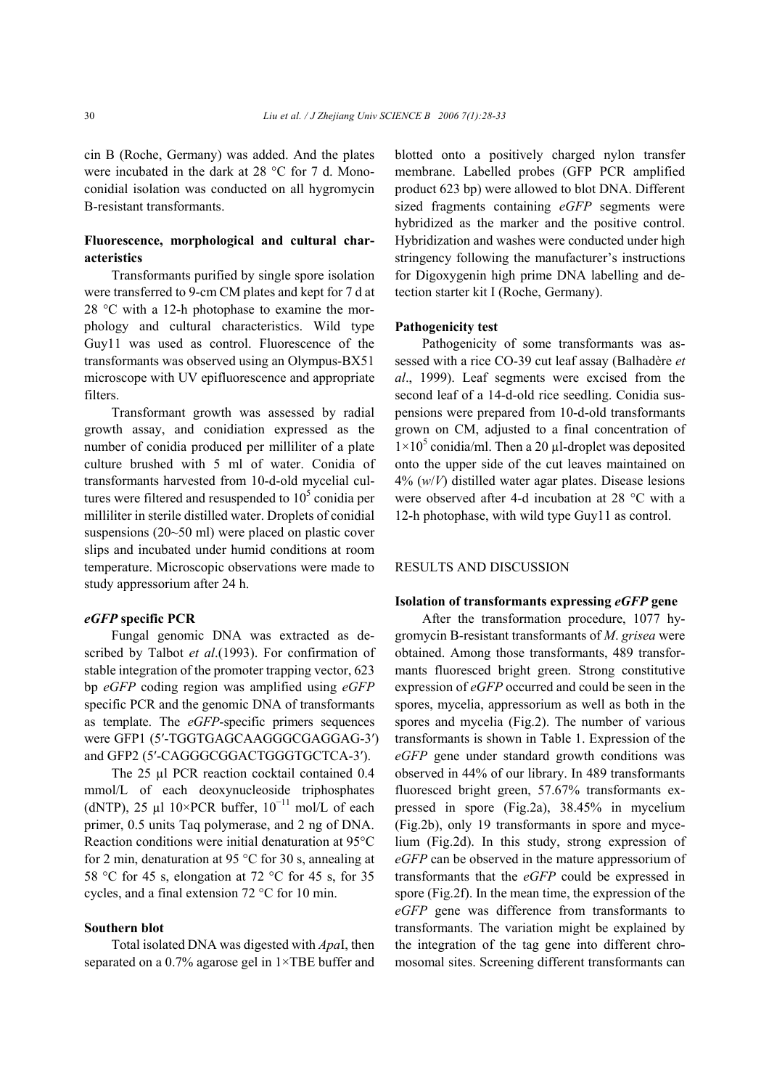cin B (Roche, Germany) was added. And the plates were incubated in the dark at 28 °C for 7 d. Monoconidial isolation was conducted on all hygromycin B-resistant transformants.

# **Fluorescence, morphological and cultural characteristics**

Transformants purified by single spore isolation were transferred to 9-cm CM plates and kept for 7 d at 28 °C with a 12-h photophase to examine the morphology and cultural characteristics. Wild type Guy11 was used as control. Fluorescence of the transformants was observed using an Olympus-BX51 microscope with UV epifluorescence and appropriate filters.

Transformant growth was assessed by radial growth assay, and conidiation expressed as the number of conidia produced per milliliter of a plate culture brushed with 5 ml of water. Conidia of transformants harvested from 10-d-old mycelial cultures were filtered and resuspended to  $10<sup>5</sup>$  conidia per milliliter in sterile distilled water. Droplets of conidial suspensions (20~50 ml) were placed on plastic cover slips and incubated under humid conditions at room temperature. Microscopic observations were made to study appressorium after 24 h.

## *eGFP* **specific PCR**

Fungal genomic DNA was extracted as described by Talbot *et al*.(1993). For confirmation of stable integration of the promoter trapping vector, 623 bp *eGFP* coding region was amplified using *eGFP* specific PCR and the genomic DNA of transformants as template. The *eGFP*-specific primers sequences were GFP1 (5′-TGGTGAGCAAGGGCGAGGAG-3′) and GFP2 (5′-CAGGGCGGACTGGGTGCTCA-3′).

The 25 µl PCR reaction cocktail contained 0.4 mmol/L of each deoxynucleoside triphosphates (dNTP), 25 µl  $10\times$ PCR buffer,  $10^{-11}$  mol/L of each primer, 0.5 units Taq polymerase, and 2 ng of DNA. Reaction conditions were initial denaturation at 95°C for 2 min, denaturation at 95 °C for 30 s, annealing at 58 °C for 45 s, elongation at 72 °C for 45 s, for 35 cycles, and a final extension 72 °C for 10 min.

## **Southern blot**

Total isolated DNA was digested with *Apa*I, then separated on a 0.7% agarose gel in 1×TBE buffer and blotted onto a positively charged nylon transfer membrane. Labelled probes (GFP PCR amplified product 623 bp) were allowed to blot DNA. Different sized fragments containing *eGFP* segments were hybridized as the marker and the positive control. Hybridization and washes were conducted under high stringency following the manufacturer's instructions for Digoxygenin high prime DNA labelling and detection starter kit I (Roche, Germany).

#### **Pathogenicity test**

Pathogenicity of some transformants was assessed with a rice CO-39 cut leaf assay (Balhadère *et al*., 1999). Leaf segments were excised from the second leaf of a 14-d-old rice seedling. Conidia suspensions were prepared from 10-d-old transformants grown on CM, adjusted to a final concentration of  $1\times10^5$  conidia/ml. Then a 20 µl-droplet was deposited onto the upper side of the cut leaves maintained on 4% (*w*/*V*) distilled water agar plates. Disease lesions were observed after 4-d incubation at 28 °C with a 12-h photophase, with wild type Guy11 as control.

## RESULTS AND DISCUSSION

## **Isolation of transformants expressing** *eGFP* **gene**

After the transformation procedure, 1077 hygromycin B-resistant transformants of *M*. *grisea* were obtained. Among those transformants, 489 transformants fluoresced bright green. Strong constitutive expression of *eGFP* occurred and could be seen in the spores, mycelia, appressorium as well as both in the spores and mycelia (Fig.2). The number of various transformants is shown in Table 1. Expression of the *eGFP* gene under standard growth conditions was observed in 44% of our library. In 489 transformants fluoresced bright green, 57.67% transformants expressed in spore (Fig.2a), 38.45% in mycelium (Fig.2b), only 19 transformants in spore and mycelium (Fig.2d). In this study, strong expression of *eGFP* can be observed in the mature appressorium of transformants that the *eGFP* could be expressed in spore (Fig.2f). In the mean time, the expression of the *eGFP* gene was difference from transformants to transformants. The variation might be explained by the integration of the tag gene into different chromosomal sites. Screening different transformants can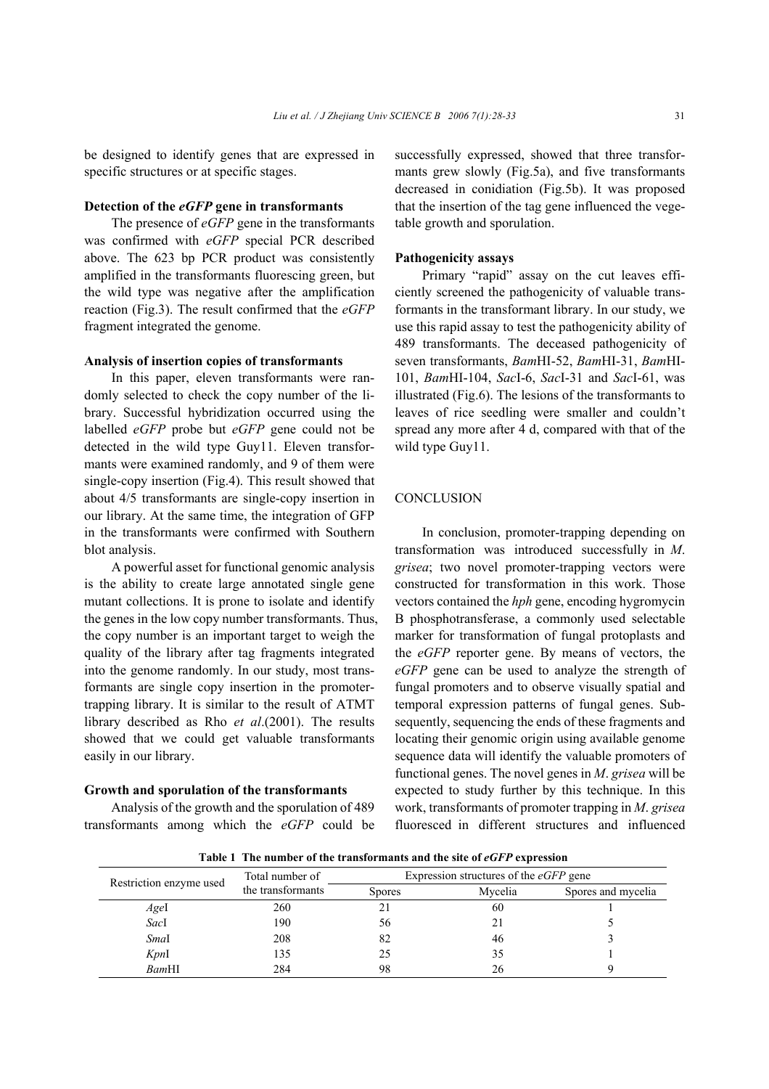be designed to identify genes that are expressed in specific structures or at specific stages.

### **Detection of the** *eGFP* **gene in transformants**

The presence of *eGFP* gene in the transformants was confirmed with *eGFP* special PCR described above. The 623 bp PCR product was consistently amplified in the transformants fluorescing green, but the wild type was negative after the amplification reaction (Fig.3). The result confirmed that the *eGFP* fragment integrated the genome.

### **Analysis of insertion copies of transformants**

In this paper, eleven transformants were randomly selected to check the copy number of the library. Successful hybridization occurred using the labelled *eGFP* probe but *eGFP* gene could not be detected in the wild type Guy11. Eleven transformants were examined randomly, and 9 of them were single-copy insertion (Fig.4). This result showed that about 4/5 transformants are single-copy insertion in our library. At the same time, the integration of GFP in the transformants were confirmed with Southern blot analysis.

A powerful asset for functional genomic analysis is the ability to create large annotated single gene mutant collections. It is prone to isolate and identify the genes in the low copy number transformants. Thus, the copy number is an important target to weigh the quality of the library after tag fragments integrated into the genome randomly. In our study, most transformants are single copy insertion in the promotertrapping library. It is similar to the result of ATMT library described as Rho *et al*.(2001). The results showed that we could get valuable transformants easily in our library.

#### **Growth and sporulation of the transformants**

Analysis of the growth and the sporulation of 489 transformants among which the *eGFP* could be successfully expressed, showed that three transformants grew slowly (Fig.5a), and five transformants decreased in conidiation (Fig.5b). It was proposed that the insertion of the tag gene influenced the vegetable growth and sporulation.

#### **Pathogenicity assays**

Primary "rapid" assay on the cut leaves efficiently screened the pathogenicity of valuable transformants in the transformant library. In our study, we use this rapid assay to test the pathogenicity ability of 489 transformants. The deceased pathogenicity of seven transformants, *Bam*HI-52, *Bam*HI-31, *Bam*HI-101, *Bam*HI-104, *Sac*I-6, *Sac*I-31 and *Sac*I-61, was illustrated (Fig.6). The lesions of the transformants to leaves of rice seedling were smaller and couldn't spread any more after 4 d, compared with that of the wild type Guy11.

## **CONCLUSION**

In conclusion, promoter-trapping depending on transformation was introduced successfully in *M*. *grisea*; two novel promoter-trapping vectors were constructed for transformation in this work. Those vectors contained the *hph* gene, encoding hygromycin B phosphotransferase, a commonly used selectable marker for transformation of fungal protoplasts and the *eGFP* reporter gene. By means of vectors, the *eGFP* gene can be used to analyze the strength of fungal promoters and to observe visually spatial and temporal expression patterns of fungal genes. Subsequently, sequencing the ends of these fragments and locating their genomic origin using available genome sequence data will identify the valuable promoters of functional genes. The novel genes in *M*. *grisea* will be expected to study further by this technique. In this work, transformants of promoter trapping in *M*. *grisea* fluoresced in different structures and influenced

**Table 1 The number of the transformants and the site of** *eGFP* **expression** 

| Restriction enzyme used | Total number of<br>the transformants | Expression structures of the $eGFP$ gene |         |                    |
|-------------------------|--------------------------------------|------------------------------------------|---------|--------------------|
|                         |                                      | <b>Spores</b>                            | Mycelia | Spores and mycelia |
| AgeI                    | 260                                  |                                          | 60      |                    |
| SacI                    | 190                                  | 56                                       | 21      |                    |
| SmaI                    | 208                                  | 82                                       | 46      |                    |
| KpnI                    | 135                                  | 25                                       | 35      |                    |
| BamHI                   | 284                                  | 98                                       | 26      |                    |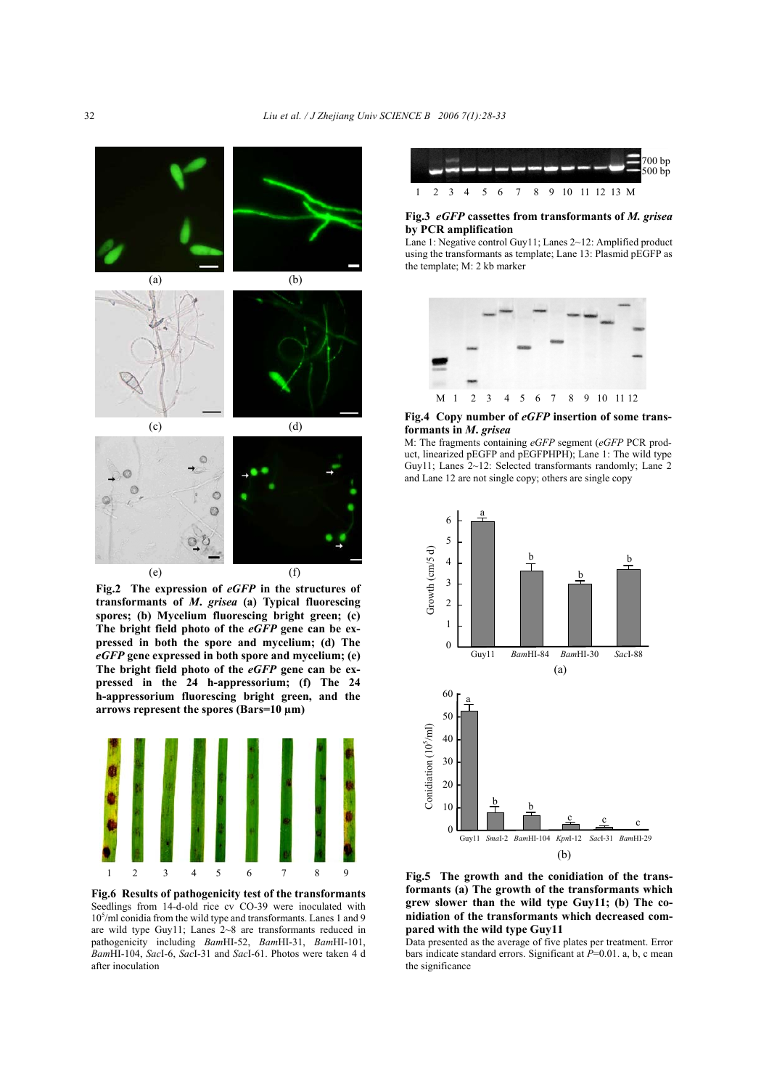

**Fig.2 The expression of** *eGFP* **in the structures of transformants of** *M***.** *grisea* **(a) Typical fluorescing spores; (b) Mycelium fluorescing bright green; (c) The bright field photo of the** *eGFP* **gene can be expressed in both the spore and mycelium; (d) The**  *eGFP* **gene expressed in both spore and mycelium; (e) The bright field photo of the** *eGFP* **gene can be expressed in the 24 h-appressorium; (f) The 24 h-appressorium fluorescing bright green, and the arrows represent the spores (Bars=10 µm)**



**Fig.6 Results of pathogenicity test of the transformants** Seedlings from 14-d-old rice cv CO-39 were inoculated with 10<sup>5</sup>/ml conidia from the wild type and transformants. Lanes 1 and 9 are wild type Guy11; Lanes 2~8 are transformants reduced in pathogenicity including *Bam*HI-52, *Bam*HI-31, *Bam*HI-101, *Bam*HI-104, *Sac*I-6, *Sac*I-31 and *Sac*I-61. Photos were taken 4 d after inoculation



#### **Fig.3** *eGFP* **cassettes from transformants of** *M. grisea* **by PCR amplification**

Lane 1: Negative control Guy11; Lanes 2~12: Amplified product using the transformants as template; Lane 13: Plasmid pEGFP as the template; M: 2 kb marker



#### **Fig.4 Copy number of** *eGFP* **insertion of some transformants in** *M***.** *grisea*

M: The fragments containing *eGFP* segment (*eGFP* PCR product, linearized pEGFP and pEGFPHPH); Lane 1: The wild type Guy11; Lanes 2~12: Selected transformants randomly; Lane 2 and Lane 12 are not single copy; others are single copy



**formants (a) The growth of the transformants which grew slower than the wild type Guy11; (b) The conidiation of the transformants which decreased compared with the wild type Guy11** 

Data presented as the average of five plates per treatment. Error bars indicate standard errors. Significant at *P*=0.01. a, b, c mean the significance